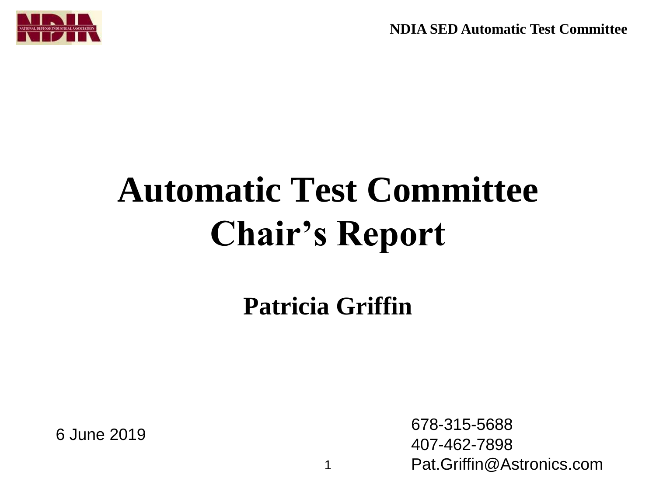**NDIA SED Automatic Test Committee**



## **Automatic Test Committee Chair's Report**

**Patricia Griffin**

<sup>6</sup> June 2019 678-315-5688 407-462-7898 Pat.Griffin@Astronics.com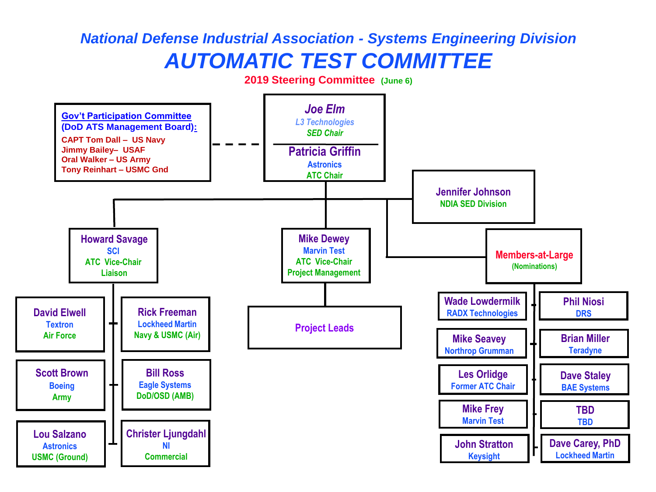## *National Defense Industrial Association - Systems Engineering Division AUTOMATIC TEST COMMITTEE*

**2019 Steering Committee (June 6)**

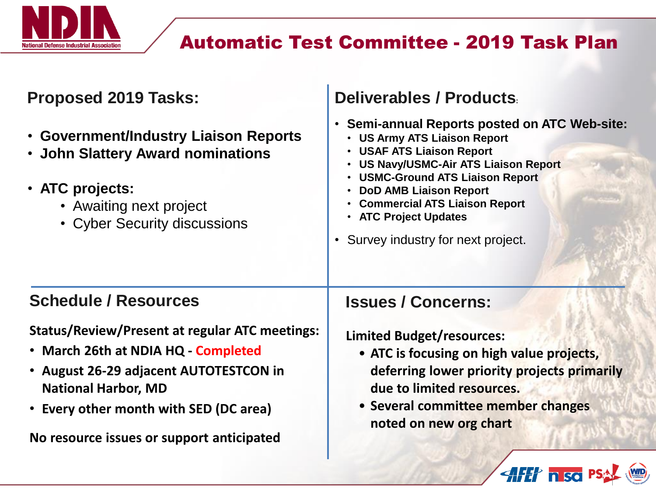

## Automatic Test Committee - 2019 Task Plan

| <b>Proposed 2019 Tasks:</b>                                                                                                                                                                                                                                 | Deliverables / Products                                                                                                                                                                                                                                                                                                                                                                                     |
|-------------------------------------------------------------------------------------------------------------------------------------------------------------------------------------------------------------------------------------------------------------|-------------------------------------------------------------------------------------------------------------------------------------------------------------------------------------------------------------------------------------------------------------------------------------------------------------------------------------------------------------------------------------------------------------|
| <b>· Government/Industry Liaison Reports</b><br>• John Slattery Award nominations<br>• ATC projects:<br>• Awaiting next project<br>• Cyber Security discussions                                                                                             | <b>Semi-annual Reports posted on ATC Web-site:</b><br>$\bullet$<br><b>US Army ATS Liaison Report</b><br>$\bullet$<br><b>USAF ATS Liaison Report</b><br>$\bullet$<br><b>US Navy/USMC-Air ATS Liaison Report</b><br><b>USMC-Ground ATS Liaison Report</b><br><b>DoD AMB Liaison Report</b><br><b>Commercial ATS Liaison Report</b><br>• ATC Project Updates<br>Survey industry for next project.<br>$\bullet$ |
| <b>Schedule / Resources</b>                                                                                                                                                                                                                                 | <b>Issues / Concerns:</b>                                                                                                                                                                                                                                                                                                                                                                                   |
| <b>Status/Review/Present at regular ATC meetings:</b><br>• March 26th at NDIA HQ - Completed<br>• August 26-29 adjacent AUTOTESTCON in<br><b>National Harbor, MD</b><br>• Every other month with SED (DC area)<br>No resource issues or support anticipated | <b>Limited Budget/resources:</b><br>• ATC is focusing on high value projects,<br>deferring lower priority projects primarily<br>due to limited resources.<br>• Several committee member changes<br>noted on new org chart                                                                                                                                                                                   |
|                                                                                                                                                                                                                                                             | <b>AFET hiso</b> P                                                                                                                                                                                                                                                                                                                                                                                          |